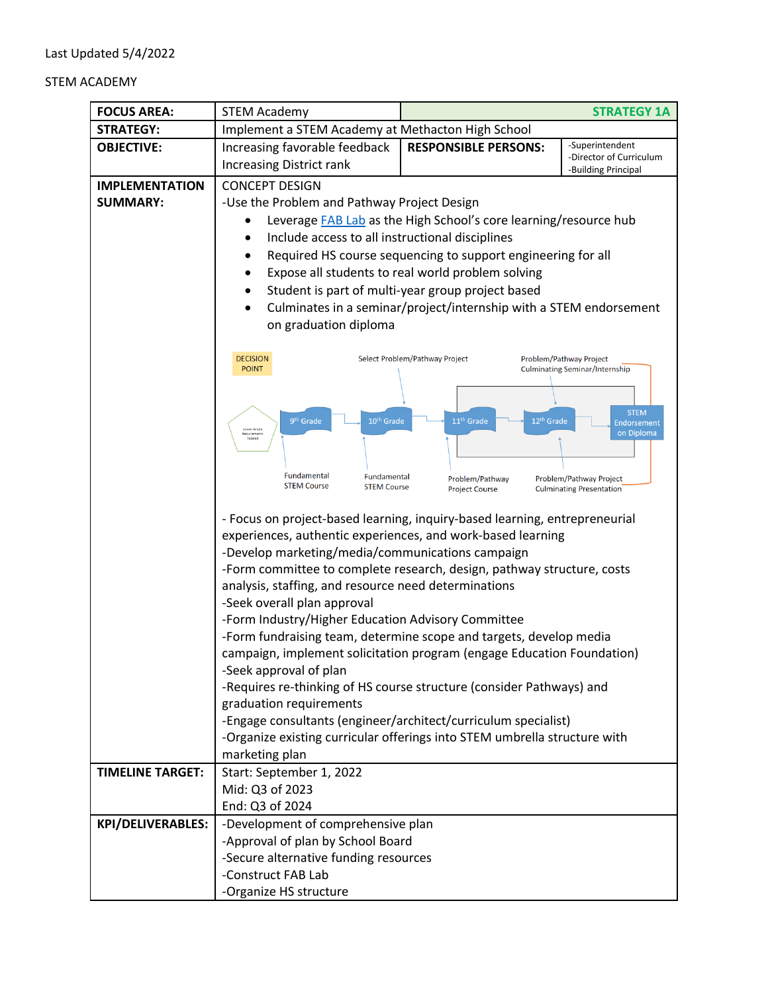## STEM ACADEMY

| <b>FOCUS AREA:</b>                       | <b>STEM Academy</b>                                                                                                                                                                                                                                                                                                                                                                                                                                                                                           |                                                                                                                                                                                                                                                                                                                                                                                                                                                                                                                                                                                            | <b>STRATEGY 1A</b>                                                |  |  |
|------------------------------------------|---------------------------------------------------------------------------------------------------------------------------------------------------------------------------------------------------------------------------------------------------------------------------------------------------------------------------------------------------------------------------------------------------------------------------------------------------------------------------------------------------------------|--------------------------------------------------------------------------------------------------------------------------------------------------------------------------------------------------------------------------------------------------------------------------------------------------------------------------------------------------------------------------------------------------------------------------------------------------------------------------------------------------------------------------------------------------------------------------------------------|-------------------------------------------------------------------|--|--|
| <b>STRATEGY:</b>                         | Implement a STEM Academy at Methacton High School                                                                                                                                                                                                                                                                                                                                                                                                                                                             |                                                                                                                                                                                                                                                                                                                                                                                                                                                                                                                                                                                            |                                                                   |  |  |
| <b>OBJECTIVE:</b>                        | Increasing favorable feedback<br><b>Increasing District rank</b>                                                                                                                                                                                                                                                                                                                                                                                                                                              | <b>RESPONSIBLE PERSONS:</b>                                                                                                                                                                                                                                                                                                                                                                                                                                                                                                                                                                | -Superintendent<br>-Director of Curriculum<br>-Building Principal |  |  |
| <b>IMPLEMENTATION</b><br><b>SUMMARY:</b> | <b>CONCEPT DESIGN</b><br>-Use the Problem and Pathway Project Design<br>Leverage FAB Lab as the High School's core learning/resource hub<br>Include access to all instructional disciplines<br>$\bullet$<br>Required HS course sequencing to support engineering for all<br>Expose all students to real world problem solving<br>Student is part of multi-year group project based<br>٠<br>Culminates in a seminar/project/internship with a STEM endorsement<br>on graduation diploma                        |                                                                                                                                                                                                                                                                                                                                                                                                                                                                                                                                                                                            |                                                                   |  |  |
|                                          | <b>DECISION</b><br>Select Problem/Pathway Project<br>Problem/Pathway Project<br><b>POINT</b><br><b>Culminating Seminar/Internship</b><br>9 <sup>th</sup> Grade<br>10 <sup>th</sup> Grade<br>11 <sup>th</sup> Grade<br>12 <sup>th</sup> Grade<br><b>Endorsement</b><br>Lower Grade<br>on Diploma<br>Requirements<br>needed<br>Fundamental<br>Fundamental<br>Problem/Pathway<br>Problem/Pathway Project<br><b>STEM Course</b><br><b>STEM Course</b><br><b>Culminating Presentation</b><br><b>Project Course</b> |                                                                                                                                                                                                                                                                                                                                                                                                                                                                                                                                                                                            |                                                                   |  |  |
|                                          | -Develop marketing/media/communications campaign<br>analysis, staffing, and resource need determinations<br>-Seek overall plan approval<br>-Form Industry/Higher Education Advisory Committee<br>-Seek approval of plan<br>graduation requirements<br>marketing plan                                                                                                                                                                                                                                          | - Focus on project-based learning, inquiry-based learning, entrepreneurial<br>experiences, authentic experiences, and work-based learning<br>-Form committee to complete research, design, pathway structure, costs<br>-Form fundraising team, determine scope and targets, develop media<br>campaign, implement solicitation program (engage Education Foundation)<br>-Requires re-thinking of HS course structure (consider Pathways) and<br>-Engage consultants (engineer/architect/curriculum specialist)<br>-Organize existing curricular offerings into STEM umbrella structure with |                                                                   |  |  |
| <b>TIMELINE TARGET:</b>                  | Start: September 1, 2022<br>Mid: Q3 of 2023<br>End: Q3 of 2024                                                                                                                                                                                                                                                                                                                                                                                                                                                |                                                                                                                                                                                                                                                                                                                                                                                                                                                                                                                                                                                            |                                                                   |  |  |
| <b>KPI/DELIVERABLES:</b>                 | -Development of comprehensive plan<br>-Approval of plan by School Board<br>-Secure alternative funding resources<br>-Construct FAB Lab<br>-Organize HS structure                                                                                                                                                                                                                                                                                                                                              |                                                                                                                                                                                                                                                                                                                                                                                                                                                                                                                                                                                            |                                                                   |  |  |